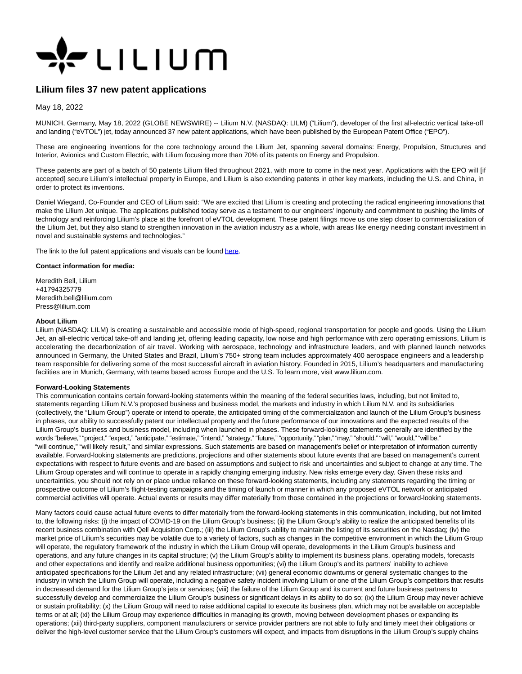

## **Lilium files 37 new patent applications**

May 18, 2022

MUNICH, Germany, May 18, 2022 (GLOBE NEWSWIRE) -- Lilium N.V. (NASDAQ: LILM) ("Lilium"), developer of the first all-electric vertical take-off and landing ("eVTOL") jet, today announced 37 new patent applications, which have been published by the European Patent Office ("EPO").

These are engineering inventions for the core technology around the Lilium Jet, spanning several domains: Energy, Propulsion, Structures and Interior, Avionics and Custom Electric, with Lilium focusing more than 70% of its patents on Energy and Propulsion.

These patents are part of a batch of 50 patents Lilium filed throughout 2021, with more to come in the next year. Applications with the EPO will [if accepted] secure Lilium's intellectual property in Europe, and Lilium is also extending patents in other key markets, including the U.S. and China, in order to protect its inventions.

Daniel Wiegand, Co-Founder and CEO of Lilium said: "We are excited that Lilium is creating and protecting the radical engineering innovations that make the Lilium Jet unique. The applications published today serve as a testament to our engineers' ingenuity and commitment to pushing the limits of technology and reinforcing Lilium's place at the forefront of eVTOL development. These patent filings move us one step closer to commercialization of the Lilium Jet, but they also stand to strengthen innovation in the aviation industry as a whole, with areas like energy needing constant investment in novel and sustainable systems and technologies."

The link to the full patent applications and visuals can be found [here.](https://www.globenewswire.com/Tracker?data=7n9yWE6HDMiC7CjKFsmcJ6FIRTQi_7RppglMAyYjMk7MeCzUO_5N7YbXX6h0jW8dxjRJ3M5R7bAui6WW0GsRunnC4Fl69LoamTqLQJf3Oo06v8beUp_AZf0VLFCTJvPgzaMGbP5C5z_FESB7hEra61IzMa9TTI6qORsWwEPxdPf8OwY7ofnqPPasiO2kWcERFdwWKD2od1J4Ewf3FFtGHMHx3H58h3OOSgJqZ6n7jen6Z5sXqBmbwBQ5HGO3B68y)

## **Contact information for media:**

Meredith Bell, Lilium +41794325779 Meredith.bell@lilium.com Press@lilium.com

## **About Lilium**

Lilium (NASDAQ: LILM) is creating a sustainable and accessible mode of high-speed, regional transportation for people and goods. Using the Lilium Jet, an all-electric vertical take-off and landing jet, offering leading capacity, low noise and high performance with zero operating emissions, Lilium is accelerating the decarbonization of air travel. Working with aerospace, technology and infrastructure leaders, and with planned launch networks announced in Germany, the United States and Brazil, Lilium's 750+ strong team includes approximately 400 aerospace engineers and a leadership team responsible for delivering some of the most successful aircraft in aviation history. Founded in 2015, Lilium's headquarters and manufacturing facilities are in Munich, Germany, with teams based across Europe and the U.S. To learn more, visit www.lilium.com.

## **Forward-Looking Statements**

This communication contains certain forward-looking statements within the meaning of the federal securities laws, including, but not limited to, statements regarding Lilium N.V.'s proposed business and business model, the markets and industry in which Lilium N.V. and its subsidiaries (collectively, the "Lilium Group") operate or intend to operate, the anticipated timing of the commercialization and launch of the Lilium Group's business in phases, our ability to successfully patent our intellectual property and the future performance of our innovations and the expected results of the Lilium Group's business and business model, including when launched in phases. These forward-looking statements generally are identified by the words "believe," "project," "expect," "anticipate," "estimate," "intend," "strategy," "future," "opportunity," "plan," "may," "should," "will," "would," "will be," "will continue," "will likely result," and similar expressions. Such statements are based on management's belief or interpretation of information currently available. Forward-looking statements are predictions, projections and other statements about future events that are based on management's current expectations with respect to future events and are based on assumptions and subject to risk and uncertainties and subject to change at any time. The Lilium Group operates and will continue to operate in a rapidly changing emerging industry. New risks emerge every day. Given these risks and uncertainties, you should not rely on or place undue reliance on these forward-looking statements, including any statements regarding the timing or prospective outcome of Lilium's flight-testing campaigns and the timing of launch or manner in which any proposed eVTOL network or anticipated commercial activities will operate. Actual events or results may differ materially from those contained in the projections or forward-looking statements.

Many factors could cause actual future events to differ materially from the forward-looking statements in this communication, including, but not limited to, the following risks: (i) the impact of COVID-19 on the Lilium Group's business; (ii) the Lilium Group's ability to realize the anticipated benefits of its recent business combination with Qell Acquisition Corp.; (iii) the Lilium Group's ability to maintain the listing of its securities on the Nasdaq; (iv) the market price of Lilium's securities may be volatile due to a variety of factors, such as changes in the competitive environment in which the Lilium Group will operate, the regulatory framework of the industry in which the Lilium Group will operate, developments in the Lilium Group's business and operations, and any future changes in its capital structure; (v) the Lilium Group's ability to implement its business plans, operating models, forecasts and other expectations and identify and realize additional business opportunities; (vi) the Lilium Group's and its partners' inability to achieve anticipated specifications for the Lilium Jet and any related infrastructure; (vii) general economic downturns or general systematic changes to the industry in which the Lilium Group will operate, including a negative safety incident involving Lilium or one of the Lilium Group's competitors that results in decreased demand for the Lilium Group's jets or services; (viii) the failure of the Lilium Group and its current and future business partners to successfully develop and commercialize the Lilium Group's business or significant delays in its ability to do so; (ix) the Lilium Group may never achieve or sustain profitability; (x) the Lilium Group will need to raise additional capital to execute its business plan, which may not be available on acceptable terms or at all; (xi) the Lilium Group may experience difficulties in managing its growth, moving between development phases or expanding its operations; (xii) third-party suppliers, component manufacturers or service provider partners are not able to fully and timely meet their obligations or deliver the high-level customer service that the Lilium Group's customers will expect, and impacts from disruptions in the Lilium Group's supply chains